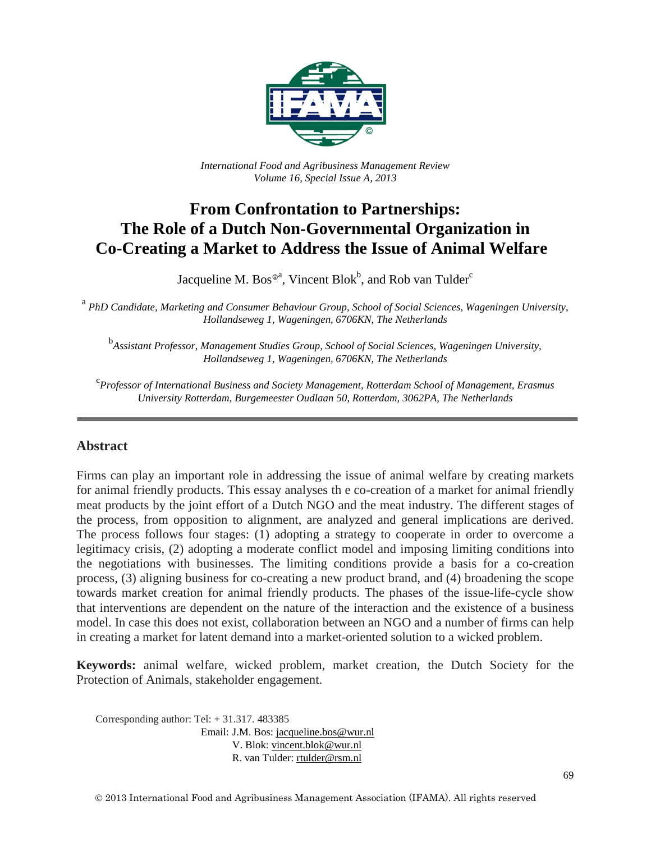

*International Food and Agribusiness Management Review Volume 16, Special Issue A, 2013*

# **From Confrontation to Partnerships: The Role of a Dutch Non-Governmental Organization in Co-Creating a Market to Address the Issue of Animal Welfare**

Jacqueline M. Bos $^{\circ}$ <sup>a</sup>, Vincent Blok $^{\circ}$ , and Rob van Tulder $^{\circ}$ 

<sup>a</sup> *PhD Candidate, Marketing and Consumer Behaviour Group, School of Social Sciences, Wageningen University, Hollandseweg 1, Wageningen, 6706KN, The Netherlands*

b *Assistant Professor, Management Studies Group, School of Social Sciences, Wageningen University, Hollandseweg 1, Wageningen, 6706KN, The Netherlands*

c *Professor of International Business and Society Management, Rotterdam School of Management, Erasmus University Rotterdam, Burgemeester Oudlaan 50, Rotterdam, 3062PA, The Netherlands*

#### **Abstract**

Firms can play an important role in addressing the issue of animal welfare by creating markets for animal friendly products. This essay analyses th e co-creation of a market for animal friendly meat products by the joint effort of a Dutch NGO and the meat industry. The different stages of the process, from opposition to alignment, are analyzed and general implications are derived. The process follows four stages: (1) adopting a strategy to cooperate in order to overcome a legitimacy crisis, (2) adopting a moderate conflict model and imposing limiting conditions into the negotiations with businesses. The limiting conditions provide a basis for a co-creation process, (3) aligning business for co-creating a new product brand, and (4) broadening the scope towards market creation for animal friendly products. The phases of the issue-life-cycle show that interventions are dependent on the nature of the interaction and the existence of a business model. In case this does not exist, collaboration between an NGO and a number of firms can help in creating a market for latent demand into a market-oriented solution to a wicked problem.

**Keywords:** animal welfare, wicked problem, market creation, the Dutch Society for the Protection of Animals, stakeholder engagement.

Corresponding author: Tel: + 31.317. 483385 Email: J.M. Bos[: jacqueline.bos@wur.nl](mailto:jacqueline.bos@wur.nl) V. Blok: [vincent.blok@wur.nl](mailto:vincent.blok@wur.nl) R. van Tulder: [rtulder@rsm.nl](mailto:rtulder@rsm.nl)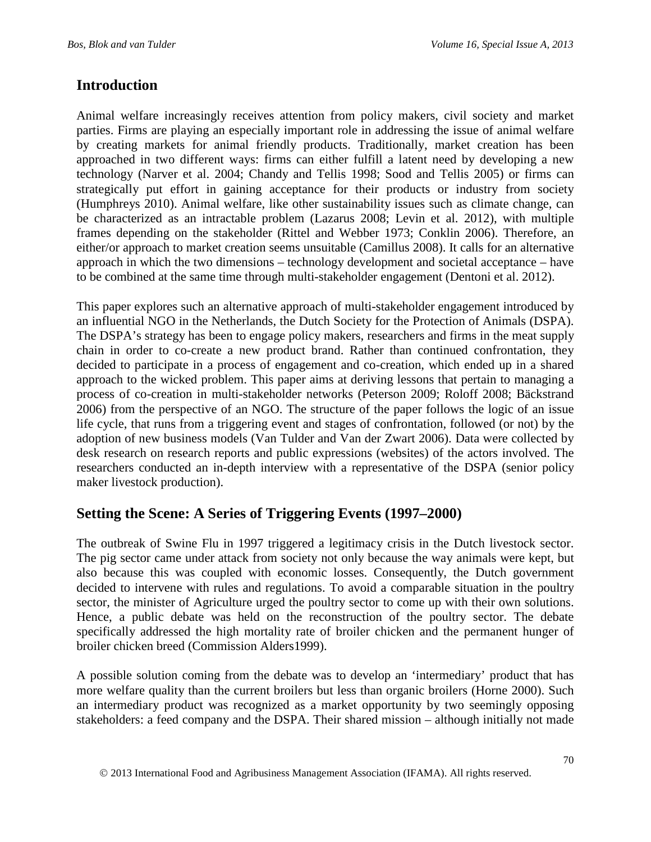### **Introduction**

Animal welfare increasingly receives attention from policy makers, civil society and market parties. Firms are playing an especially important role in addressing the issue of animal welfare by creating markets for animal friendly products. Traditionally, market creation has been approached in two different ways: firms can either fulfill a latent need by developing a new technology (Narver et al. 2004; Chandy and Tellis 1998; Sood and Tellis 2005) or firms can strategically put effort in gaining acceptance for their products or industry from society (Humphreys 2010). Animal welfare, like other sustainability issues such as climate change, can be characterized as an intractable problem (Lazarus 2008; Levin et al. 2012), with multiple frames depending on the stakeholder (Rittel and Webber 1973; Conklin 2006). Therefore, an either/or approach to market creation seems unsuitable (Camillus 2008). It calls for an alternative approach in which the two dimensions – technology development and societal acceptance – have to be combined at the same time through multi-stakeholder engagement (Dentoni et al. 2012).

This paper explores such an alternative approach of multi-stakeholder engagement introduced by an influential NGO in the Netherlands, the Dutch Society for the Protection of Animals (DSPA). The DSPA's strategy has been to engage policy makers, researchers and firms in the meat supply chain in order to co-create a new product brand. Rather than continued confrontation, they decided to participate in a process of engagement and co-creation, which ended up in a shared approach to the wicked problem. This paper aims at deriving lessons that pertain to managing a process of co-creation in multi-stakeholder networks (Peterson 2009; Roloff 2008; Bäckstrand 2006) from the perspective of an NGO. The structure of the paper follows the logic of an issue life cycle, that runs from a triggering event and stages of confrontation, followed (or not) by the adoption of new business models (Van Tulder and Van der Zwart 2006). Data were collected by desk research on research reports and public expressions (websites) of the actors involved. The researchers conducted an in-depth interview with a representative of the DSPA (senior policy maker livestock production).

# **Setting the Scene: A Series of Triggering Events (1997–2000)**

The outbreak of Swine Flu in 1997 triggered a legitimacy crisis in the Dutch livestock sector. The pig sector came under attack from society not only because the way animals were kept, but also because this was coupled with economic losses. Consequently, the Dutch government decided to intervene with rules and regulations. To avoid a comparable situation in the poultry sector, the minister of Agriculture urged the poultry sector to come up with their own solutions. Hence, a public debate was held on the reconstruction of the poultry sector. The debate specifically addressed the high mortality rate of broiler chicken and the permanent hunger of broiler chicken breed (Commission Alders1999).

A possible solution coming from the debate was to develop an 'intermediary' product that has more welfare quality than the current broilers but less than organic broilers (Horne 2000). Such an intermediary product was recognized as a market opportunity by two seemingly opposing stakeholders: a feed company and the DSPA. Their shared mission – although initially not made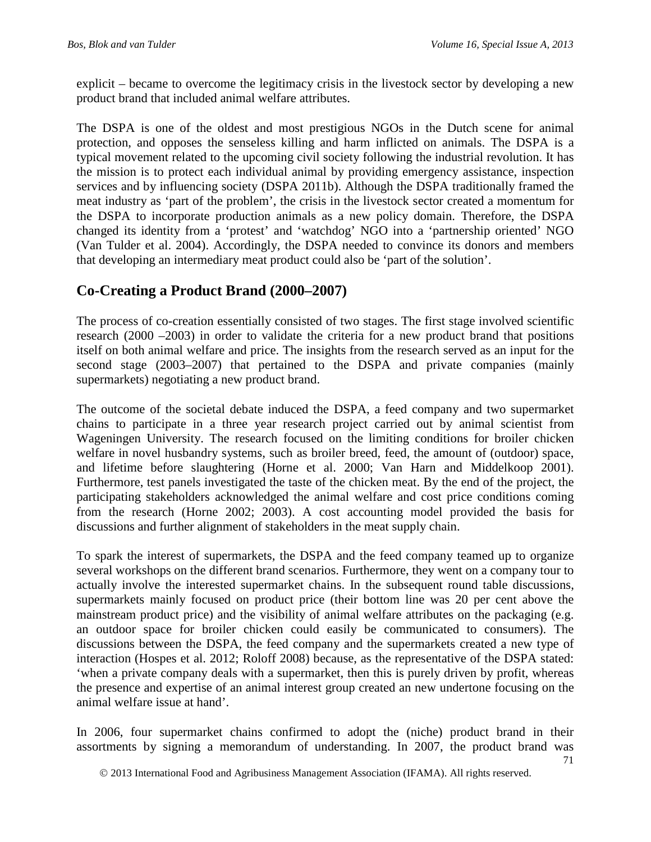explicit – became to overcome the legitimacy crisis in the livestock sector by developing a new product brand that included animal welfare attributes.

The DSPA is one of the oldest and most prestigious NGOs in the Dutch scene for animal protection, and opposes the senseless killing and harm inflicted on animals. The DSPA is a typical movement related to the upcoming civil society following the industrial revolution. It has the mission is to protect each individual animal by providing emergency assistance, inspection services and by influencing society (DSPA 2011b). Although the DSPA traditionally framed the meat industry as 'part of the problem', the crisis in the livestock sector created a momentum for the DSPA to incorporate production animals as a new policy domain. Therefore, the DSPA changed its identity from a 'protest' and 'watchdog' NGO into a 'partnership oriented' NGO (Van Tulder et al. 2004). Accordingly, the DSPA needed to convince its donors and members that developing an intermediary meat product could also be 'part of the solution'.

### **Co-Creating a Product Brand (2000–2007)**

The process of co-creation essentially consisted of two stages. The first stage involved scientific research (2000 –2003) in order to validate the criteria for a new product brand that positions itself on both animal welfare and price. The insights from the research served as an input for the second stage (2003–2007) that pertained to the DSPA and private companies (mainly supermarkets) negotiating a new product brand.

The outcome of the societal debate induced the DSPA, a feed company and two supermarket chains to participate in a three year research project carried out by animal scientist from Wageningen University. The research focused on the limiting conditions for broiler chicken welfare in novel husbandry systems, such as broiler breed, feed, the amount of (outdoor) space, and lifetime before slaughtering (Horne et al. 2000; Van Harn and Middelkoop 2001). Furthermore, test panels investigated the taste of the chicken meat. By the end of the project, the participating stakeholders acknowledged the animal welfare and cost price conditions coming from the research (Horne 2002; 2003). A cost accounting model provided the basis for discussions and further alignment of stakeholders in the meat supply chain.

To spark the interest of supermarkets, the DSPA and the feed company teamed up to organize several workshops on the different brand scenarios. Furthermore, they went on a company tour to actually involve the interested supermarket chains. In the subsequent round table discussions, supermarkets mainly focused on product price (their bottom line was 20 per cent above the mainstream product price) and the visibility of animal welfare attributes on the packaging (e.g. an outdoor space for broiler chicken could easily be communicated to consumers). The discussions between the DSPA, the feed company and the supermarkets created a new type of interaction (Hospes et al. 2012; Roloff 2008) because, as the representative of the DSPA stated: 'when a private company deals with a supermarket, then this is purely driven by profit, whereas the presence and expertise of an animal interest group created an new undertone focusing on the animal welfare issue at hand'.

In 2006, four supermarket chains confirmed to adopt the (niche) product brand in their assortments by signing a memorandum of understanding. In 2007, the product brand was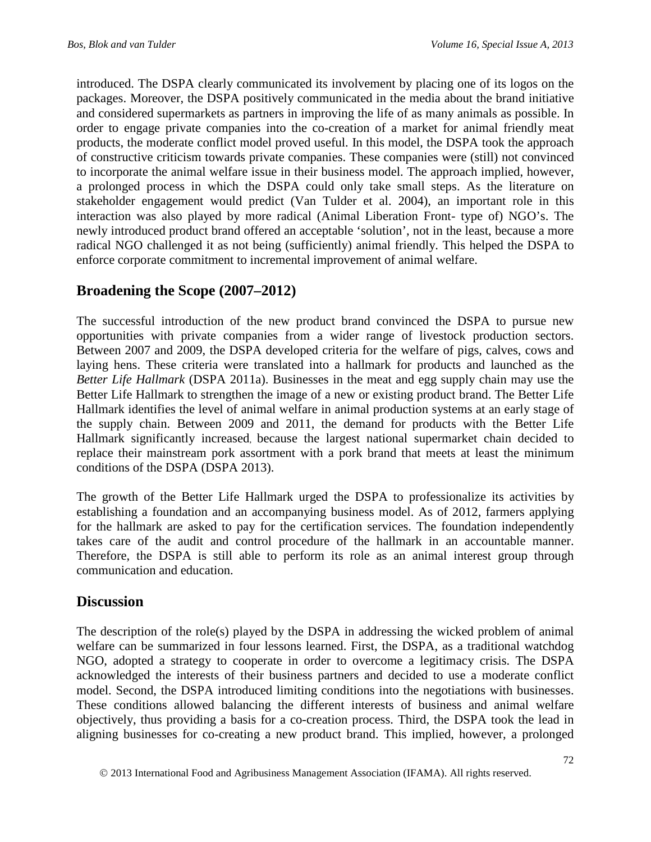introduced. The DSPA clearly communicated its involvement by placing one of its logos on the packages. Moreover, the DSPA positively communicated in the media about the brand initiative and considered supermarkets as partners in improving the life of as many animals as possible. In order to engage private companies into the co-creation of a market for animal friendly meat products, the moderate conflict model proved useful. In this model, the DSPA took the approach of constructive criticism towards private companies. These companies were (still) not convinced to incorporate the animal welfare issue in their business model. The approach implied, however, a prolonged process in which the DSPA could only take small steps. As the literature on stakeholder engagement would predict (Van Tulder et al. 2004), an important role in this interaction was also played by more radical (Animal Liberation Front- type of) NGO's. The newly introduced product brand offered an acceptable 'solution', not in the least, because a more radical NGO challenged it as not being (sufficiently) animal friendly. This helped the DSPA to enforce corporate commitment to incremental improvement of animal welfare.

# **Broadening the Scope (2007–2012)**

The successful introduction of the new product brand convinced the DSPA to pursue new opportunities with private companies from a wider range of livestock production sectors. Between 2007 and 2009, the DSPA developed criteria for the welfare of pigs, calves, cows and laying hens. These criteria were translated into a hallmark for products and launched as the *Better Life Hallmark* (DSPA 2011a). Businesses in the meat and egg supply chain may use the Better Life Hallmark to strengthen the image of a new or existing product brand. The Better Life Hallmark identifies the level of animal welfare in animal production systems at an early stage of the supply chain. Between 2009 and 2011, the demand for products with the Better Life Hallmark significantly increased, because the largest national supermarket chain decided to replace their mainstream pork assortment with a pork brand that meets at least the minimum conditions of the DSPA (DSPA 2013).

The growth of the Better Life Hallmark urged the DSPA to professionalize its activities by establishing a foundation and an accompanying business model. As of 2012, farmers applying for the hallmark are asked to pay for the certification services. The foundation independently takes care of the audit and control procedure of the hallmark in an accountable manner. Therefore, the DSPA is still able to perform its role as an animal interest group through communication and education.

# **Discussion**

The description of the role(s) played by the DSPA in addressing the wicked problem of animal welfare can be summarized in four lessons learned. First, the DSPA, as a traditional watchdog NGO, adopted a strategy to cooperate in order to overcome a legitimacy crisis. The DSPA acknowledged the interests of their business partners and decided to use a moderate conflict model. Second, the DSPA introduced limiting conditions into the negotiations with businesses. These conditions allowed balancing the different interests of business and animal welfare objectively, thus providing a basis for a co-creation process. Third, the DSPA took the lead in aligning businesses for co-creating a new product brand. This implied, however, a prolonged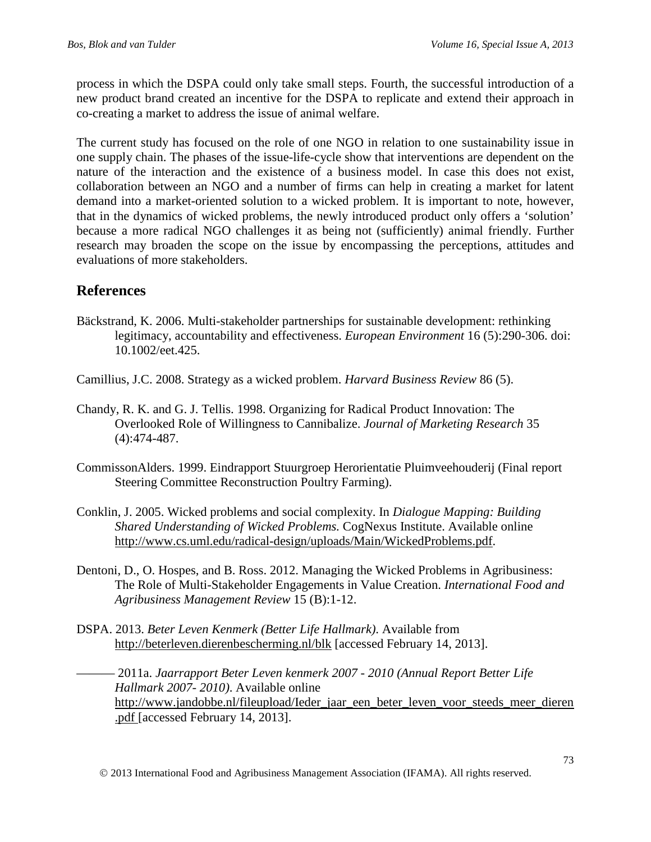process in which the DSPA could only take small steps. Fourth, the successful introduction of a new product brand created an incentive for the DSPA to replicate and extend their approach in co-creating a market to address the issue of animal welfare.

The current study has focused on the role of one NGO in relation to one sustainability issue in one supply chain. The phases of the issue-life-cycle show that interventions are dependent on the nature of the interaction and the existence of a business model. In case this does not exist, collaboration between an NGO and a number of firms can help in creating a market for latent demand into a market-oriented solution to a wicked problem. It is important to note, however, that in the dynamics of wicked problems, the newly introduced product only offers a 'solution' because a more radical NGO challenges it as being not (sufficiently) animal friendly. Further research may broaden the scope on the issue by encompassing the perceptions, attitudes and evaluations of more stakeholders.

### **References**

- Bäckstrand, K. 2006. Multi-stakeholder partnerships for sustainable development: rethinking legitimacy, accountability and effectiveness. *European Environment* 16 (5):290-306. doi: 10.1002/eet.425.
- Camillius, J.C. 2008. Strategy as a wicked problem. *Harvard Business Review* 86 (5).
- Chandy, R. K. and G. J. Tellis. 1998. Organizing for Radical Product Innovation: The Overlooked Role of Willingness to Cannibalize. *Journal of Marketing Research* 35 (4):474-487.
- CommissonAlders. 1999. Eindrapport Stuurgroep Herorientatie Pluimveehouderij (Final report Steering Committee Reconstruction Poultry Farming).
- Conklin, J. 2005. Wicked problems and social complexity. In *Dialogue Mapping: Building Shared Understanding of Wicked Problems.* CogNexus Institute. Available online [http://www.cs.uml.edu/radical-design/uploads/Main/WickedProblems.pdf.](http://www.cs.uml.edu/radical-design/uploads/Main/WickedProblems.pdf)
- Dentoni, D., O. Hospes, and B. Ross. 2012. Managing the Wicked Problems in Agribusiness: The Role of Multi-Stakeholder Engagements in Value Creation. *International Food and Agribusiness Management Review* 15 (B):1-12.
- DSPA. 2013. *Beter Leven Kenmerk (Better Life Hallmark)*. Available from <http://beterleven.dierenbescherming.nl/blk> [accessed February 14, 2013].

——— 2011a. *Jaarrapport Beter Leven kenmerk 2007 - 2010 (Annual Report Better Life Hallmark 2007- 2010)*. Available online http://www.jandobbe.nl/fileupload/Ieder jaar een beter leven voor steeds meer dieren [.pdf](http://www.jandobbe.nl/fileupload/Ieder_jaar_een_beter_leven_voor_steeds_meer_dieren.pdf) [accessed February 14, 2013].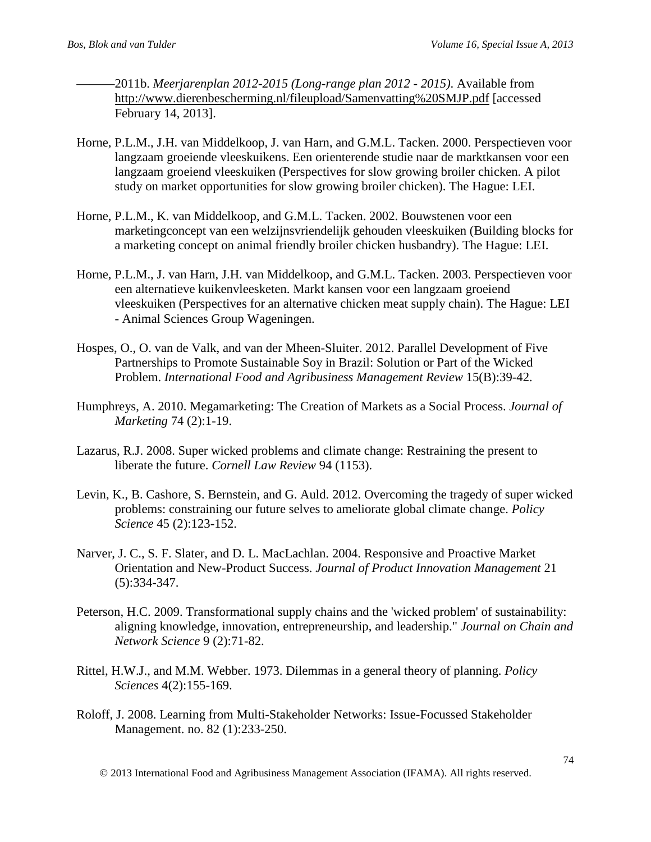- ———2011b. *Meerjarenplan 2012-2015 (Long-range plan 2012 - 2015)*. Available from <http://www.dierenbescherming.nl/fileupload/Samenvatting%20SMJP.pdf> [accessed February 14, 2013].
- Horne, P.L.M., J.H. van Middelkoop, J. van Harn, and G.M.L. Tacken. 2000. Perspectieven voor langzaam groeiende vleeskuikens. Een orienterende studie naar de marktkansen voor een langzaam groeiend vleeskuiken (Perspectives for slow growing broiler chicken. A pilot study on market opportunities for slow growing broiler chicken). The Hague: LEI.
- Horne, P.L.M., K. van Middelkoop, and G.M.L. Tacken. 2002. Bouwstenen voor een marketingconcept van een welzijnsvriendelijk gehouden vleeskuiken (Building blocks for a marketing concept on animal friendly broiler chicken husbandry). The Hague: LEI.
- Horne, P.L.M., J. van Harn, J.H. van Middelkoop, and G.M.L. Tacken. 2003. Perspectieven voor een alternatieve kuikenvleesketen. Markt kansen voor een langzaam groeiend vleeskuiken (Perspectives for an alternative chicken meat supply chain). The Hague: LEI - Animal Sciences Group Wageningen.
- Hospes, O., O. van de Valk, and van der Mheen-Sluiter. 2012. Parallel Development of Five Partnerships to Promote Sustainable Soy in Brazil: Solution or Part of the Wicked Problem. *International Food and Agribusiness Management Review* 15(B):39-42.
- Humphreys, A. 2010. Megamarketing: The Creation of Markets as a Social Process. *Journal of Marketing* 74 (2):1-19.
- Lazarus, R.J. 2008. Super wicked problems and climate change: Restraining the present to liberate the future. *Cornell Law Review* 94 (1153).
- Levin, K., B. Cashore, S. Bernstein, and G. Auld. 2012. Overcoming the tragedy of super wicked problems: constraining our future selves to ameliorate global climate change. *Policy Science* 45 (2):123-152.
- Narver, J. C., S. F. Slater, and D. L. MacLachlan. 2004. Responsive and Proactive Market Orientation and New-Product Success. *Journal of Product Innovation Management* 21 (5):334-347.
- Peterson, H.C. 2009. Transformational supply chains and the 'wicked problem' of sustainability: aligning knowledge, innovation, entrepreneurship, and leadership." *Journal on Chain and Network Science* 9 (2):71-82.
- Rittel, H.W.J., and M.M. Webber. 1973. Dilemmas in a general theory of planning. *Policy Sciences* 4(2):155-169.
- Roloff, J. 2008. Learning from Multi-Stakeholder Networks: Issue-Focussed Stakeholder Management. no. 82 (1):233-250.